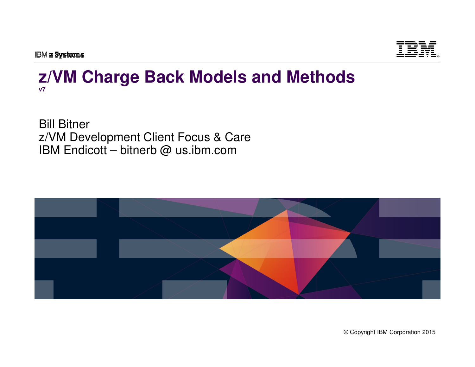

#### **z/VM Charge Back Models and Methodsv7**

Bill Bitner z/VM Development Client Focus & CareIBM Endicott – bitnerb @ us.ibm.com

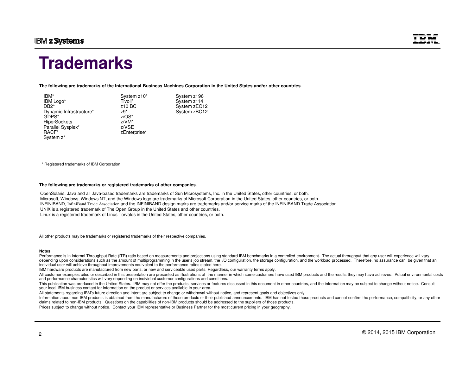

#### **Trademarks**

#### **The following are trademarks of the International Business Machines Corporation in the United States and/or other countries.**

| IBM*                    | System z10*  | System z196  |
|-------------------------|--------------|--------------|
| IBM Logo*               | Tivoli*      | System z114  |
| DB <sub>2</sub> *       | z10 BC       | System zEC12 |
| Dynamic Infrastructure* | $79*$        | System zBC12 |
| GDPS*                   | $Z/OS^*$     |              |
| <b>HiperSockets</b>     | $Z/VM^*$     |              |
| Parallel Sysplex*       | z/VSE        |              |
| RACF*                   | zEnterprise* |              |
| System z*               |              |              |

\* Registered trademarks of IBM Corporation

#### **The following are trademarks or registered trademarks of other companies.**

OpenSolaris, Java and all Java-based trademarks are trademarks of Sun Microsystems, Inc. in the United States, other countries, or both. Microsoft, Windows, Windows NT, and the Windows logo are trademarks of Microsoft Corporation in the United States, other countries, or both. INFINIBAND, InfiniBand Trade Association and the INFINIBAND design marks are trademarks and/or service marks of the INFINIBAND Trade Association.UNIX is a registered trademark of The Open Group in the United States and other countries. Linux is a registered trademark of Linus Torvalds in the United States, other countries, or both.

All other products may be trademarks or registered trademarks of their respective companies.

#### **Notes**:

Performance is in Internal Throughput Rate (ITR) ratio based on measurements and projections using standard IBM benchmarks in a controlled environment. The actual throughput that any user will experience will vary depending upon considerations such as the amount of multiprogramming in the user's job stream, the I/O configuration, the storage configuration, and the workload processed. Therefore, no assurance can be given that an individual user will achieve throughput improvements equivalent to the performance ratios stated here.

IBM hardware products are manufactured from new parts, or new and serviceable used parts. Regardless, our warranty terms apply.

All customer examples cited or described in this presentation are presented as illustrations of the manner in which some customers have used IBM products and the results they may have achieved. Actual environmental costs and performance characteristics will vary depending on individual customer configurations and conditions.

 This publication was produced in the United States. IBM may not offer the products, services or features discussed in this document in other countries, and the information may be subject to change without notice. Consult your local IBM business contact for information on the product or services available in your area.

All statements regarding IBM's future direction and intent are subject to change or withdrawal without notice, and represent goals and objectives only.

Information about non-IBM products is obtained from the manufacturers of those products or their published announcements. IBM has not tested those products and cannot confirm the performance, compatibility, or any other claims related to non-IBM products. Questions on the capabilities of non-IBM products should be addressed to the suppliers of those products.

Prices subject to change without notice. Contact your IBM representative or Business Partner for the most current pricing in your geography.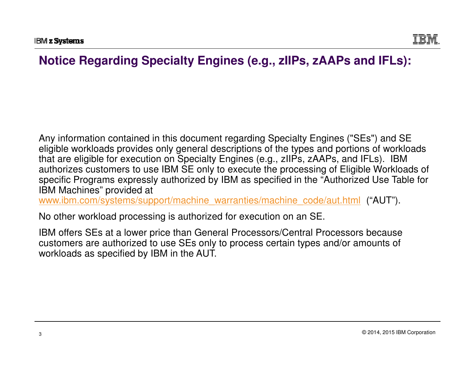#### **Notice Regarding Specialty Engines (e.g., zIIPs, zAAPs and IFLs):**

Any information contained in this document regarding Specialty Engines ("SEs") and SE eligible workloads provides only general descriptions of the types and portions of workloads that are eligible for execution on Specialty Engines (e.g., zIIPs, zAAPs, and IFLs). IBM authorizes customers to use IBM SE only to execute the processing of Eligible Workloads of specific Programs expressly authorized by IBM as specified in the "Authorized Use Table for IBM Machines" provided at

www.ibm.com/systems/support/machine\_warranties/machine\_code/aut.html ("AUT").

No other workload processing is authorized for execution on an SE.

IBM offers SEs at a lower price than General Processors/Central Processors because customers are authorized to use SEs only to process certain types and/or amounts of workloads as specified by IBM in the AUT.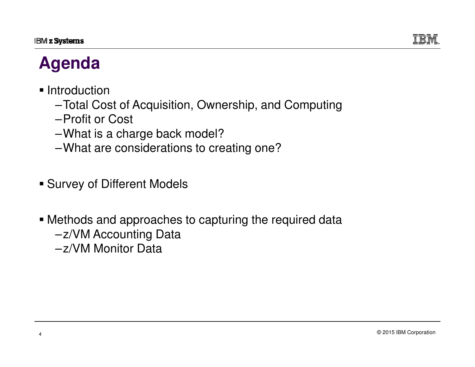

# **Agenda**

- Introduction
	- –Total Cost of Acquisition, Ownership, and Computing
	- –Profit or Cost
	- –What is a charge back model?
	- –What are considerations to creating one?
- Survey of Different Models
- Methods and approaches to capturing the required data–z/VM Accounting Data
	- –z/VM Monitor Data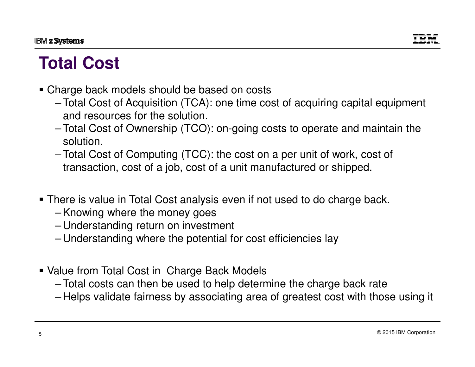

# **Total Cost**

- Charge back models should be based on costs
	- Total Cost of Acquisition (TCA): one time cost of acquiring capital equipment and resources for the solution.
	- Total Cost of Ownership (TCO): on-going costs to operate and maintain the solution.
	- Total Cost of Computing (TCC): the cost on a per unit of work, cost of transaction, cost of a job, cost of a unit manufactured or shipped.
- There is value in Total Cost analysis even if not used to do charge back.
	- Knowing where the money goes
	- Understanding return on investment
	- Understanding where the potential for cost efficiencies lay
- Value from Total Cost in Charge Back Models
	- Total costs can then be used to help determine the charge back rate
	- Helps validate fairness by associating area of greatest cost with those using it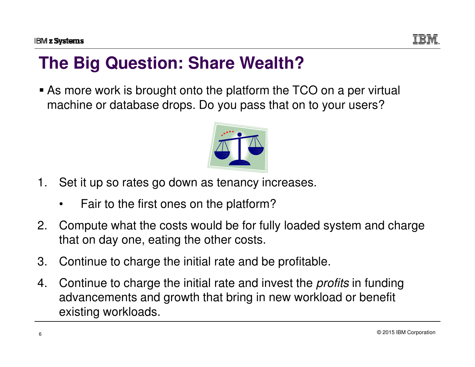

# **The Big Question: Share Wealth?**

 As more work is brought onto the platform the TCO on a per virtual machine or database drops. Do you pass that on to your users?



- 1. Set it up so rates go down as tenancy increases.
	- $\bullet$ Fair to the first ones on the platform?
- 2. Compute what the costs would be for fully loaded system and charge that on day one, eating the other costs.
- 3. Continue to charge the initial rate and be profitable.
- 4. Continue to charge the initial rate and invest the *profits* in funding advancements and growth that bring in new workload or benefit existing workloads.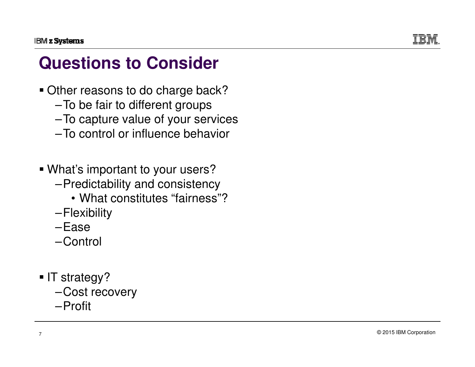

#### **Questions to Consider**

- Other reasons to do charge back?
	- –To be fair to different groups
	- –To capture value of your services
	- –To control or influence behavior
- What's important to your users?
	- –Predictability and consistency
		- What constitutes "fairness"?
	- –Flexibility
	- –Ease
	- –Control
- IT strategy? –Cost recovery
	- –Profit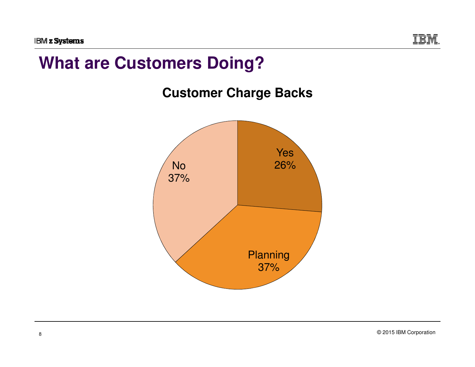

#### **What are Customers Doing?**

**Customer Charge Backs**

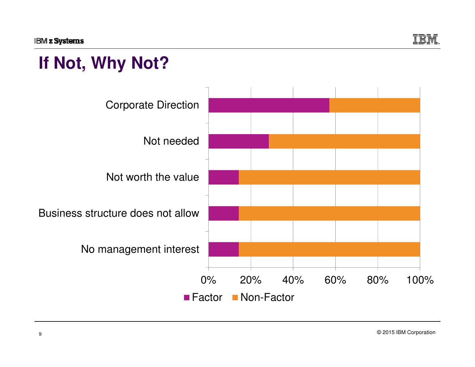

# **If Not, Why Not?**

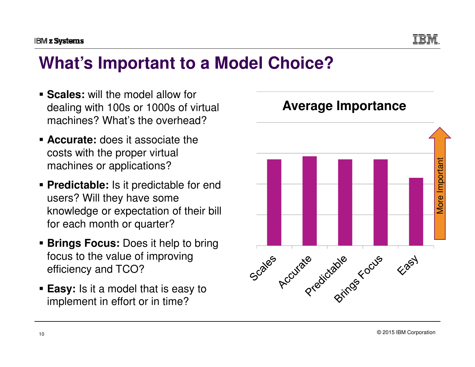

#### **What's Important to a Model Choice?**

- **Scales:** will the model allow for dealing with 100s or 1000s of virtual machines? What's the overhead?
- **Accurate:** does it associate the costs with the proper virtual machines or applications?
- **Predictable:** Is it predictable for end users? Will they have some knowledge or expectation of their bill for each month or quarter?
- **Brings Focus:** Does it help to bring focus to the value of improving efficiency and TCO?
- **Easy:** Is it a model that is easy to implement in effort or in time?



#### **Average Importance**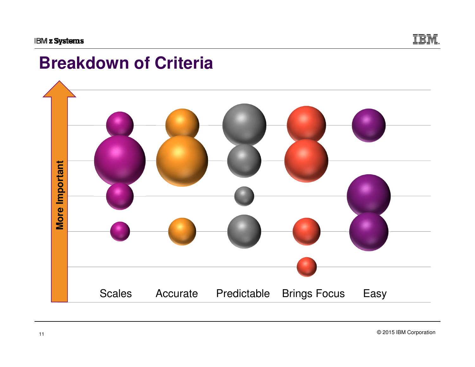

#### **Breakdown of Criteria**

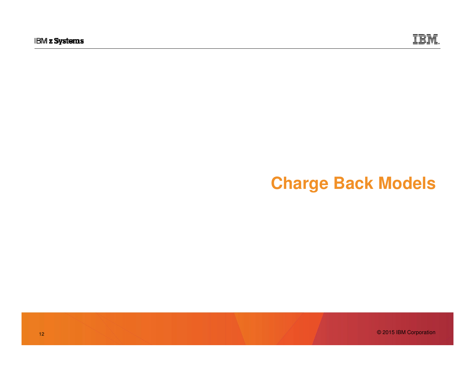

#### **Charge Back Models**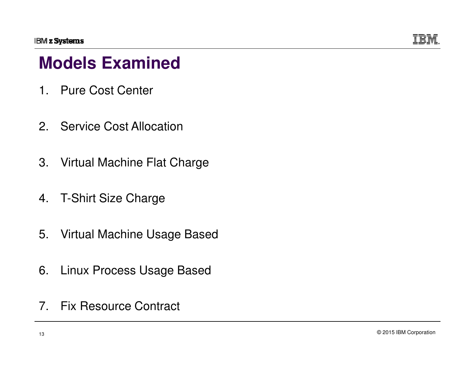

# **Models Examined**

- 1. Pure Cost Center
- 2. Service Cost Allocation
- 3. Virtual Machine Flat Charge
- 4. T-Shirt Size Charge
- 5. Virtual Machine Usage Based
- 6. Linux Process Usage Based
- 7. Fix Resource Contract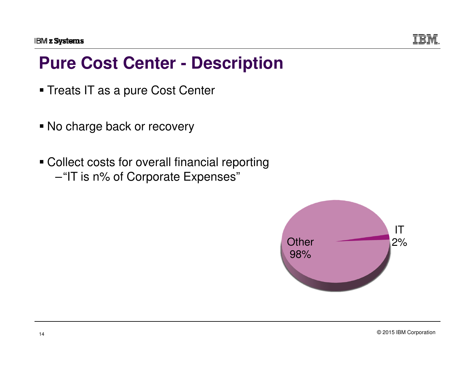

# **Pure Cost Center - Description**

- Treats IT as a pure Cost Center
- No charge back or recovery
- Collect costs for overall financial reporting–"IT is n% of Corporate Expenses"

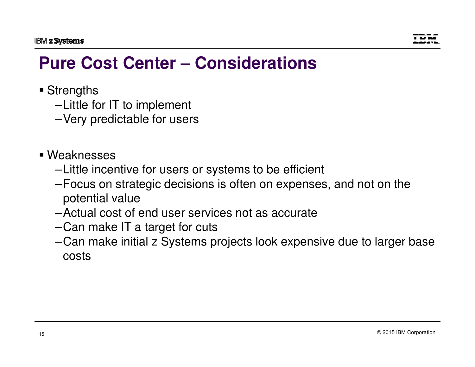

# **Pure Cost Center – Considerations**

- Strengths
	- –Little for IT to implement
	- –Very predictable for users
- Weaknesses
	- –Little incentive for users or systems to be efficient
	- –Focus on strategic decisions is often on expenses, and not on the potential value
	- –Actual cost of end user services not as accurate
	- –Can make IT a target for cuts
	- –Can make initial z Systems projects look expensive due to larger base costs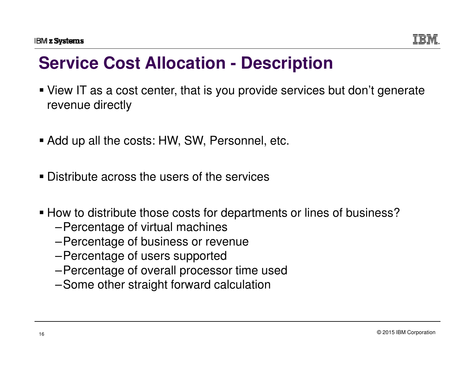# **Service Cost Allocation - Description**

- View IT as a cost center, that is you provide services but don't generate revenue directly
- Add up all the costs: HW, SW, Personnel, etc.
- Distribute across the users of the services
- How to distribute those costs for departments or lines of business?
	- –Percentage of virtual machines
	- –Percentage of business or revenue
	- –Percentage of users supported
	- –Percentage of overall processor time used
	- –Some other straight forward calculation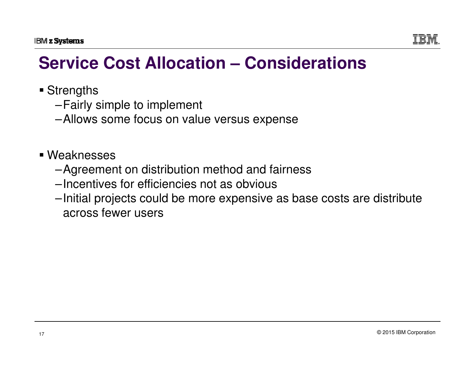# **Service Cost Allocation – Considerations**

- Strengths
	- –Fairly simple to implement
	- –Allows some focus on value versus expense
- Weaknesses
	- –Agreement on distribution method and fairness
	- –Incentives for efficiencies not as obvious
	- –Initial projects could be more expensive as base costs are distribute across fewer users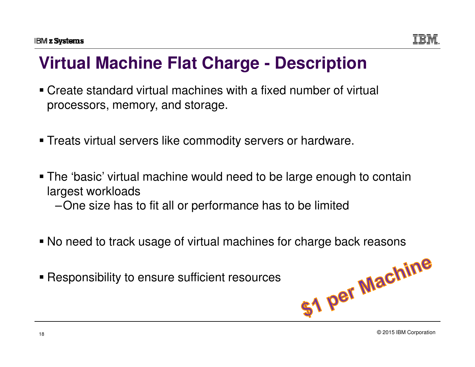# **Virtual Machine Flat Charge - Description**

- Create standard virtual machines with a fixed number of virtual processors, memory, and storage.
- Treats virtual servers like commodity servers or hardware.
- The 'basic' virtual machine would need to be large enough to contain largest workloads

–One size has to fit all or performance has to be limited

- No need to track usage of virtual machines for charge back reasons
- Responsibility to ensure sufficient resources

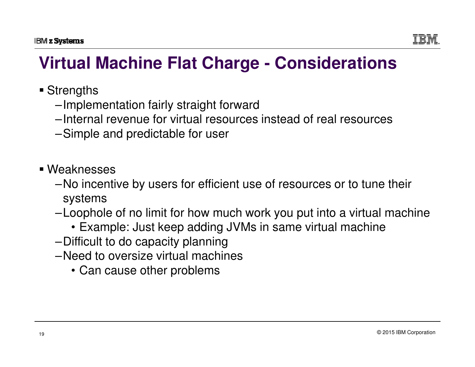# **Virtual Machine Flat Charge - Considerations**

- Strengths
	- –Implementation fairly straight forward
	- –Internal revenue for virtual resources instead of real resources
	- –Simple and predictable for user
- Weaknesses
	- –No incentive by users for efficient use of resources or to tune their systems
	- –Loophole of no limit for how much work you put into a virtual machine
		- Example: Just keep adding JVMs in same virtual machine
	- –Difficult to do capacity planning
	- –Need to oversize virtual machines
		- Can cause other problems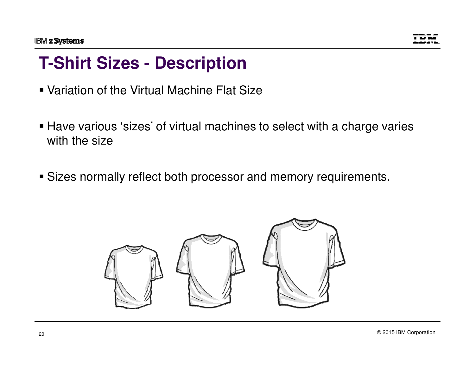

# **T-Shirt Sizes - Description**

- Variation of the Virtual Machine Flat Size
- Have various 'sizes' of virtual machines to select with a charge varies with the size
- Sizes normally reflect both processor and memory requirements.

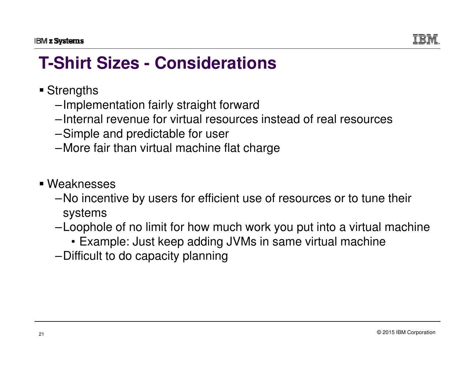

# **T-Shirt Sizes - Considerations**

- Strengths
	- –Implementation fairly straight forward
	- –Internal revenue for virtual resources instead of real resources
	- –Simple and predictable for user
	- –More fair than virtual machine flat charge
- Weaknesses
	- –No incentive by users for efficient use of resources or to tune their systems
	- –Loophole of no limit for how much work you put into a virtual machine
		- Example: Just keep adding JVMs in same virtual machine
	- –Difficult to do capacity planning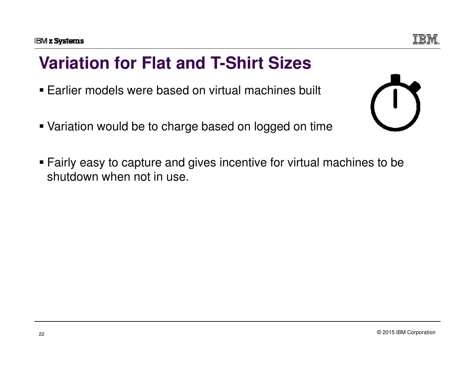

# **Variation for Flat and T-Shirt Sizes**

- Earlier models were based on virtual machines built
- Variation would be to charge based on logged on time



 Fairly easy to capture and gives incentive for virtual machines to be shutdown when not in use.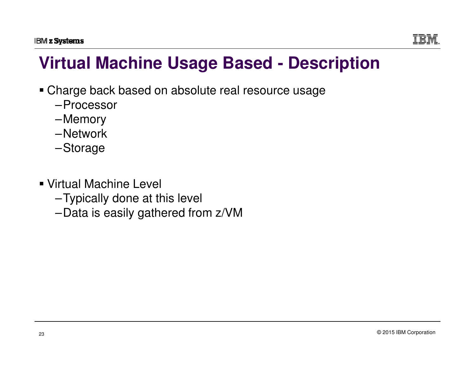![](_page_22_Picture_1.jpeg)

#### **Virtual Machine Usage Based - Description**

- Charge back based on absolute real resource usage
	- –Processor
	- –Memory
	- –Network
	- –Storage
- Virtual Machine Level
	- –Typically done at this level
	- –Data is easily gathered from z/VM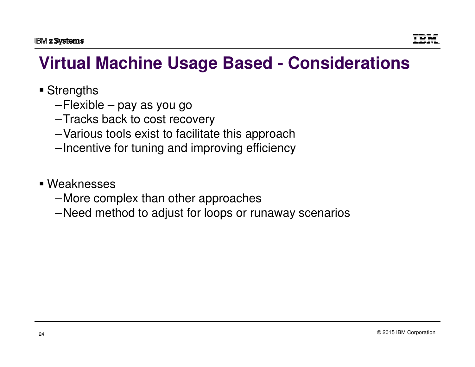#### **Virtual Machine Usage Based - Considerations**

- Strengths
	- –Flexible pay as you go
	- –Tracks back to cost recovery
	- –Various tools exist to facilitate this approach
	- –Incentive for tuning and improving efficiency
- Weaknesses
	- –More complex than other approaches
	- –Need method to adjust for loops or runaway scenarios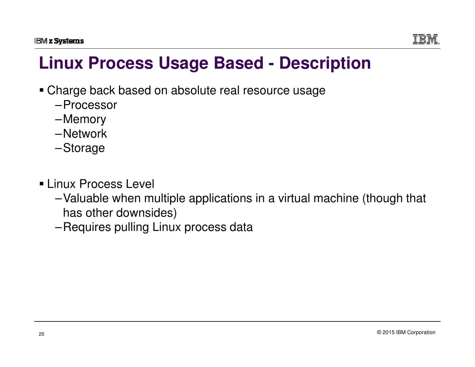![](_page_24_Picture_1.jpeg)

### **Linux Process Usage Based - Description**

- Charge back based on absolute real resource usage
	- –Processor
	- –Memory
	- –Network
	- –Storage
- Linux Process Level
	- –Valuable when multiple applications in a virtual machine (though that has other downsides)
	- –Requires pulling Linux process data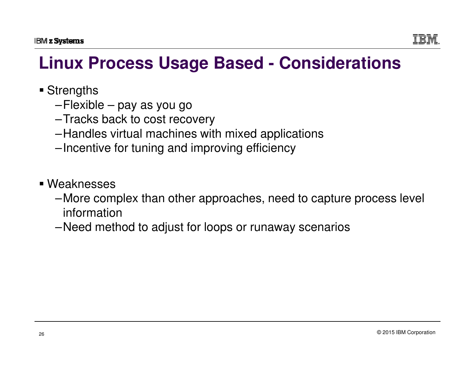#### **Linux Process Usage Based - Considerations**

- Strengths
	- –Flexible pay as you go
	- –Tracks back to cost recovery
	- –Handles virtual machines with mixed applications
	- –Incentive for tuning and improving efficiency
- Weaknesses
	- –More complex than other approaches, need to capture process level information
	- –Need method to adjust for loops or runaway scenarios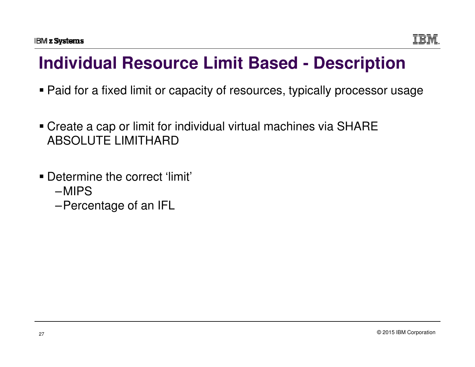# **Individual Resource Limit Based - Description**

- Paid for a fixed limit or capacity of resources, typically processor usage
- Create a cap or limit for individual virtual machines via SHARE ABSOLUTE LIMITHARD
- Determine the correct 'limit' –MIPS
	- –Percentage of an IFL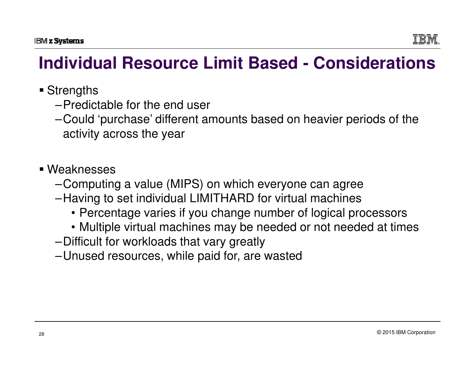#### **Individual Resource Limit Based - Considerations**

- Strengths
	- –Predictable for the end user
	- –Could 'purchase' different amounts based on heavier periods of the activity across the year
- Weaknesses
	- –Computing a value (MIPS) on which everyone can agree
	- –Having to set individual LIMITHARD for virtual machines
		- Percentage varies if you change number of logical processors
		- Multiple virtual machines may be needed or not needed at times
	- –Difficult for workloads that vary greatly
	- –Unused resources, while paid for, are wasted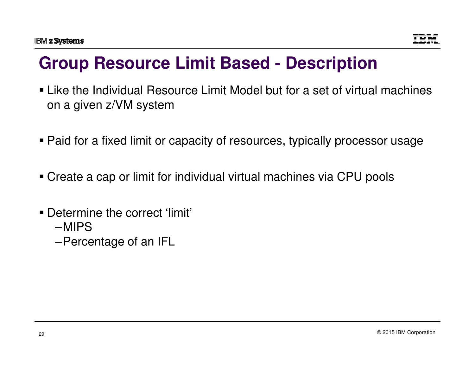# **Group Resource Limit Based - Description**

- Like the Individual Resource Limit Model but for a set of virtual machines on a given z/VM system
- Paid for a fixed limit or capacity of resources, typically processor usage
- Create a cap or limit for individual virtual machines via CPU pools
- Determine the correct 'limit' –MIPS
	- –Percentage of an IFL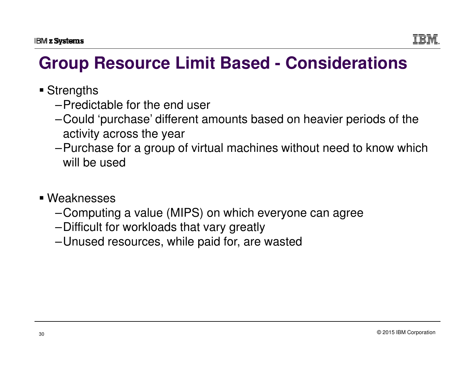# **Group Resource Limit Based - Considerations**

- Strengths
	- –Predictable for the end user
	- –Could 'purchase' different amounts based on heavier periods of the activity across the year
	- –Purchase for a group of virtual machines without need to know which will be used
- Weaknesses
	- –Computing a value (MIPS) on which everyone can agree
	- –Difficult for workloads that vary greatly
	- –Unused resources, while paid for, are wasted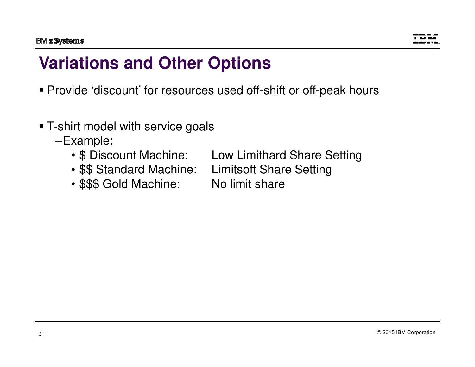![](_page_30_Picture_1.jpeg)

# **Variations and Other Options**

- Provide 'discount' for resources used off-shift or off-peak hours
- T-shirt model with service goals
	- –Example:
		-
		- \$\$ Standard Machine: Limitsoft Share Setting
		- \$\$\$ Gold Machine: No limit share
		- \$ Discount Machine: Low Limithard Share Setting
			-
			-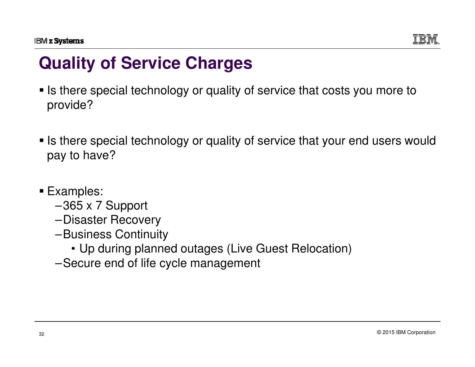![](_page_31_Picture_1.jpeg)

# **Quality of Service Charges**

- Is there special technology or quality of service that costs you more to provide?
- **I** Is there special technology or quality of service that your end users would pay to have?
- Examples:
	- –365 x 7 Support
	- –Disaster Recovery
	- –Business Continuity
		- Up during planned outages (Live Guest Relocation)
	- –Secure end of life cycle management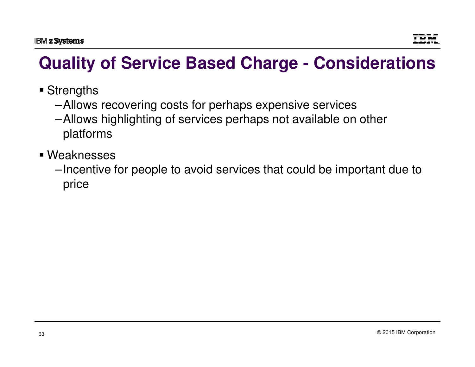### **Quality of Service Based Charge - Considerations**

- Strengths
	- –Allows recovering costs for perhaps expensive services
	- –Allows highlighting of services perhaps not available on other platforms
- Weaknesses
	- –Incentive for people to avoid services that could be important due to price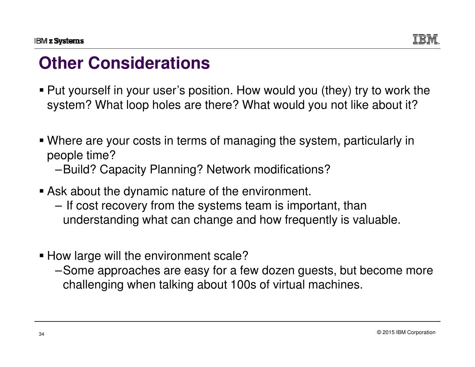![](_page_33_Picture_1.jpeg)

# **Other Considerations**

- Put yourself in your user's position. How would you (they) try to work the system? What loop holes are there? What would you not like about it?
- Where are your costs in terms of managing the system, particularly in people time?
	- –Build? Capacity Planning? Network modifications?
- Ask about the dynamic nature of the environment.
	- – If cost recovery from the systems team is important, than understanding what can change and how frequently is valuable.
- How large will the environment scale?
	- –Some approaches are easy for a few dozen guests, but become more challenging when talking about 100s of virtual machines.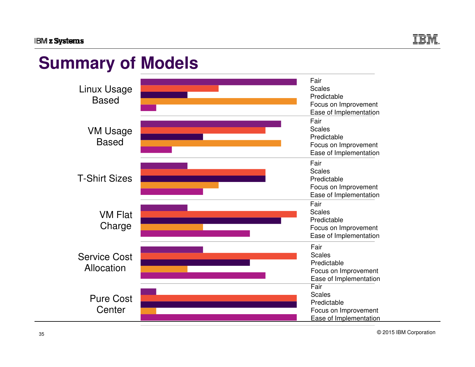#### **Summary of Models**

![](_page_34_Figure_3.jpeg)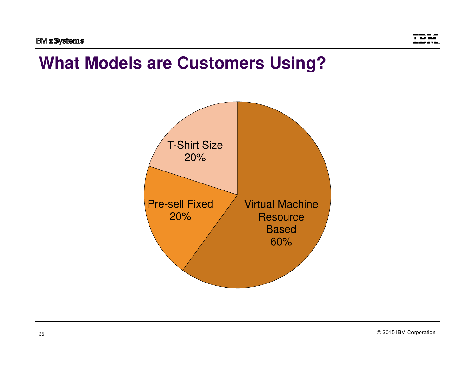![](_page_35_Picture_1.jpeg)

#### **What Models are Customers Using?**

![](_page_35_Figure_3.jpeg)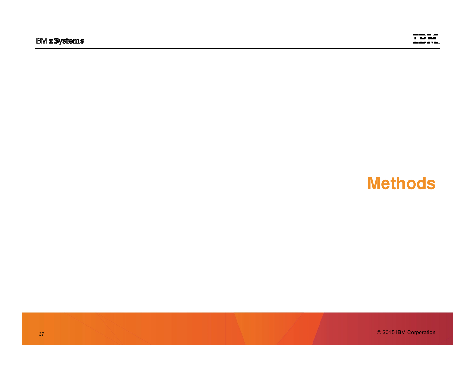![](_page_36_Picture_1.jpeg)

#### **Methods**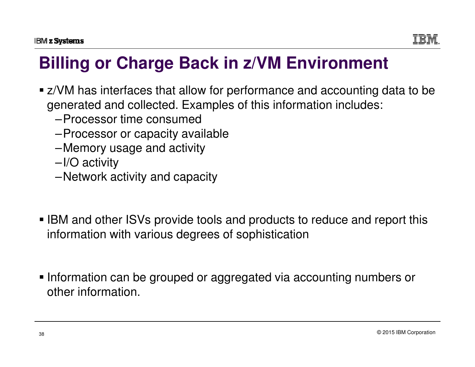# **Billing or Charge Back in z/VM Environment**

- z/VM has interfaces that allow for performance and accounting data to be generated and collected. Examples of this information includes:
	- –Processor time consumed
	- –Processor or capacity available
	- –Memory usage and activity
	- –I/O activity
	- –Network activity and capacity
- IBM and other ISVs provide tools and products to reduce and report this information with various degrees of sophistication
- **Information can be grouped or aggregated via accounting numbers or** other information.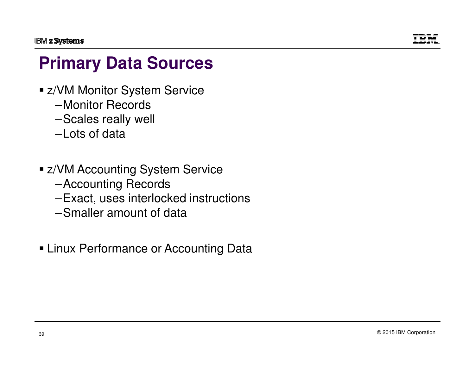![](_page_38_Picture_1.jpeg)

#### **Primary Data Sources**

- z/VM Monitor System Service
	- –Monitor Records
	- –Scales really well
	- –Lots of data
- z/VM Accounting System Service
	- –Accounting Records
	- –Exact, uses interlocked instructions
	- –Smaller amount of data
- Linux Performance or Accounting Data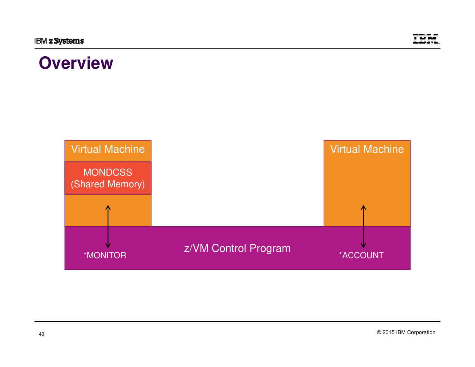![](_page_39_Picture_1.jpeg)

#### **Overview**

![](_page_39_Figure_3.jpeg)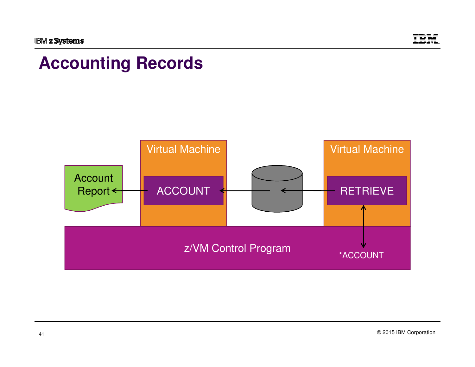![](_page_40_Picture_1.jpeg)

#### **Accounting Records**

![](_page_40_Figure_3.jpeg)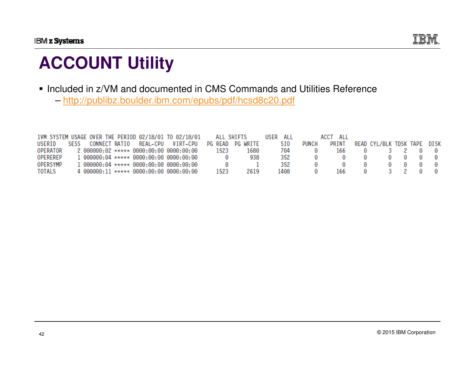![](_page_41_Picture_1.jpeg)

# **ACCOUNT Utility**

- Included in z/VM and documented in CMS Commands and Utilities Reference
	- http://publibz.boulder.ibm.com/epubs/pdf/hcsd8c20.pdf

|          | 1VM SYSTEM USAGE OVER THE PERIOD 02/18/01 TO 02/18/01 |          |                                         |         | ALL SHIFTS | USER ALL |       | ACCT ALL |          |                             |  |          |
|----------|-------------------------------------------------------|----------|-----------------------------------------|---------|------------|----------|-------|----------|----------|-----------------------------|--|----------|
| USERID   | CONNECT RATIO<br><b>SESS</b>                          | REAL-CPU | VIRT-CPU                                | PG READ | PG WRITE   | SI0      | PUNCH | PRINT    |          | READ CYL/BLK TDSK TAPE DISK |  |          |
| OPERATOR | 2 000000:02 ***** 0000:00:00 0000:00:00               |          |                                         | 1523    | 1680       | 704      |       | 166      |          |                             |  | $\Theta$ |
| OPEREREP |                                                       |          | l 000000:04 ***** 0000:00:00 0000:00:00 |         | 938        | 352      |       |          |          |                             |  | - 0      |
| OPERSYMP |                                                       |          | 000000:04 ***** 0000:00:00 0000:00:00   |         |            | 352      |       |          |          |                             |  | $\Theta$ |
| TOTALS   | 4 000000:11 ***** 0000:00:00 0000:00:00               |          |                                         | 1523    | 2619       | 1408     |       | 166      | $\Theta$ |                             |  | $\Theta$ |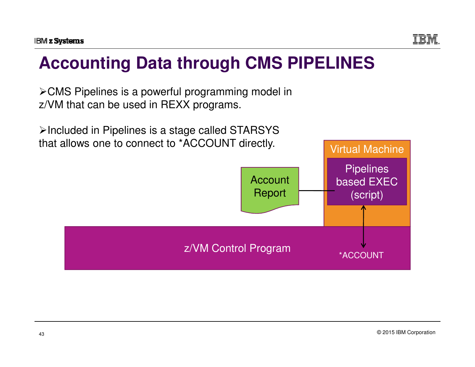![](_page_42_Picture_1.jpeg)

#### **Accounting Data through CMS PIPELINES**

≻CMS Pipelines is a powerful programming model in z/VM that can be used in REXX programs.

-Included in Pipelines is a stage called STARSYS that allows one to connect to \*ACCOUNT directly.

![](_page_42_Figure_5.jpeg)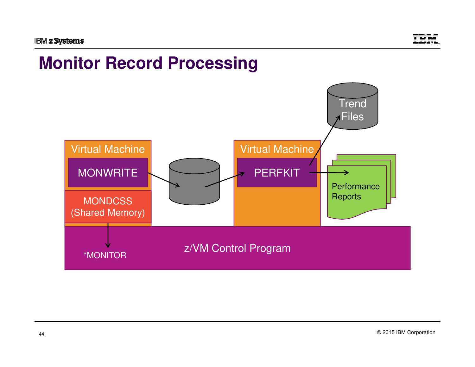![](_page_43_Picture_1.jpeg)

![](_page_43_Figure_2.jpeg)

#### **Monitor Record Processing**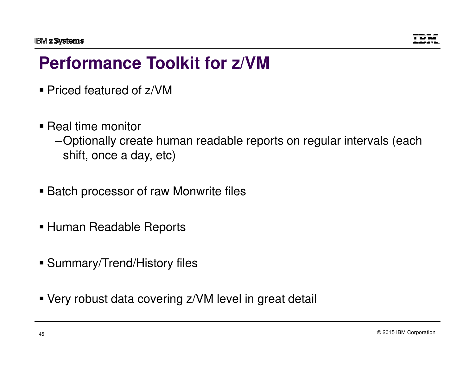![](_page_44_Picture_1.jpeg)

# **Performance Toolkit for z/VM**

- Priced featured of z/VM
- Real time monitor

–Optionally create human readable reports on regular intervals (each shift, once a day, etc)

- Batch processor of raw Monwrite files
- Human Readable Reports
- Summary/Trend/History files
- Very robust data covering z/VM level in great detail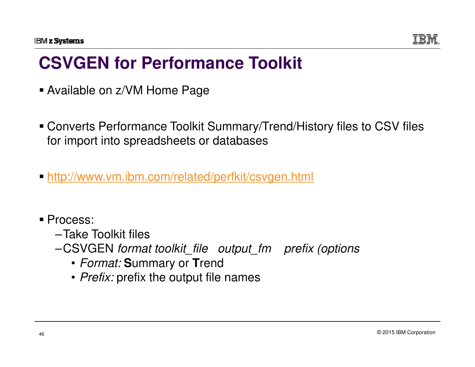![](_page_45_Picture_1.jpeg)

# **CSVGEN for Performance Toolkit**

- Available on z/VM Home Page
- Converts Performance Toolkit Summary/Trend/History files to CSV files for import into spreadsheets or databases
- http://www.vm.ibm.com/related/perfkit/csvgen.html
- Process:
	- –Take Toolkit files
	- –CSVGEN format toolkit\_file output\_fm prefix (options
		- Format: **S**ummary or **T**rend
		- *Prefix:* prefix the output file names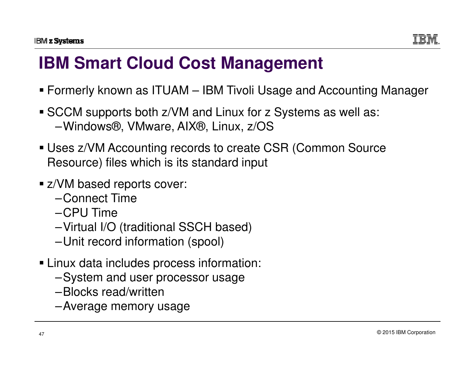# **IBM Smart Cloud Cost Management**

- Formerly known as ITUAM IBM Tivoli Usage and Accounting Manager
- SCCM supports both z/VM and Linux for z Systems as well as: –Windows®, VMware, AIX®, Linux, z/OS
- Uses z/VM Accounting records to create CSR (Common Source Resource) files which is its standard input
- z/VM based reports cover:
	- –Connect Time
	- –CPU Time
	- –Virtual I/O (traditional SSCH based)
	- –Unit record information (spool)
- Linux data includes process information:
	- –System and user processor usage
	- –Blocks read/written
	- –Average memory usage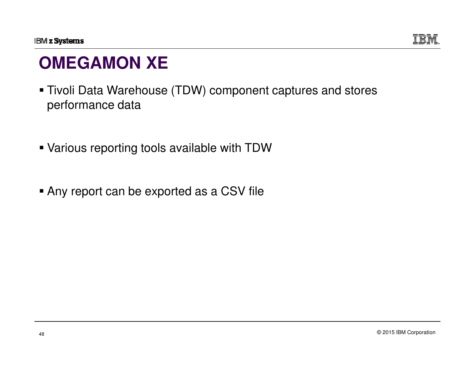![](_page_47_Picture_1.jpeg)

# **OMEGAMON XE**

- Tivoli Data Warehouse (TDW) component captures and stores performance data
- Various reporting tools available with TDW
- Any report can be exported as a CSV file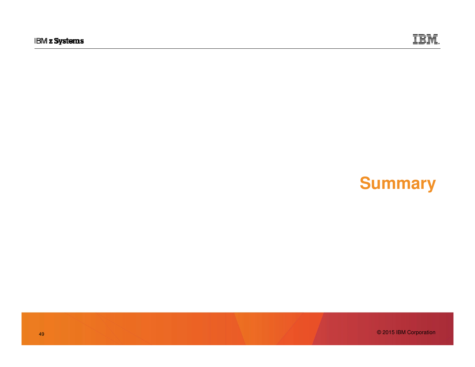![](_page_48_Picture_1.jpeg)

#### **Summary**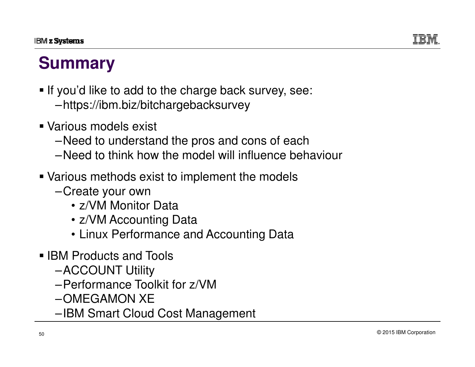![](_page_49_Picture_1.jpeg)

#### **Summary**

- If you'd like to add to the charge back survey, see: –https://ibm.biz/bitchargebacksurvey
- Various models exist
	- –Need to understand the pros and cons of each
	- –Need to think how the model will influence behaviour
- Various methods exist to implement the models
	- –Create your own
		- z/VM Monitor Data
		- z/VM Accounting Data
		- Linux Performance and Accounting Data
- IBM Products and Tools
	- –ACCOUNT Utility
	- –Performance Toolkit for z/VM
	- –OMEGAMON XE
	- –IBM Smart Cloud Cost Management